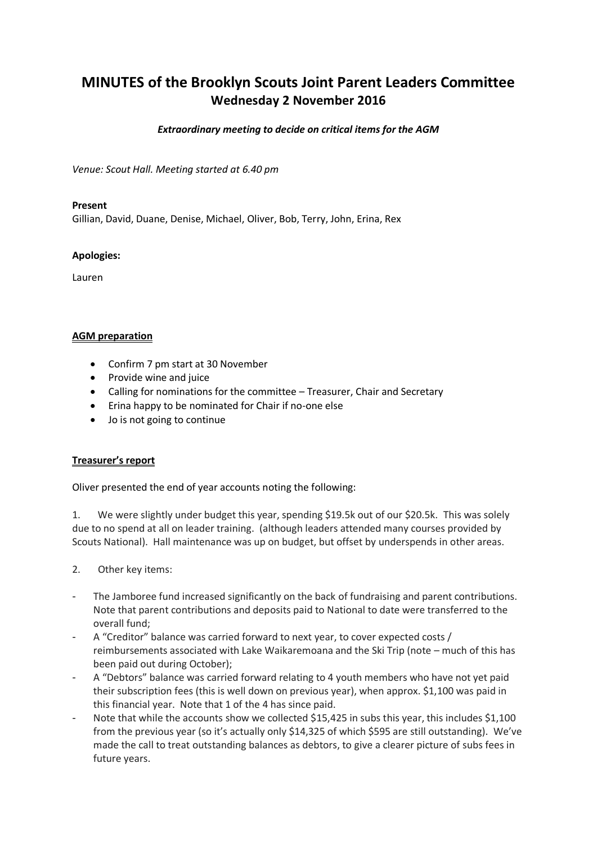# **MINUTES of the Brooklyn Scouts Joint Parent Leaders Committee Wednesday 2 November 2016**

#### *Extraordinary meeting to decide on critical items for the AGM*

*Venue: Scout Hall. Meeting started at 6.40 pm*

#### **Present**

Gillian, David, Duane, Denise, Michael, Oliver, Bob, Terry, John, Erina, Rex

#### **Apologies:**

Lauren

#### **AGM preparation**

- Confirm 7 pm start at 30 November
- Provide wine and juice
- Calling for nominations for the committee Treasurer, Chair and Secretary
- Erina happy to be nominated for Chair if no-one else
- Jo is not going to continue

## **Treasurer's report**

Oliver presented the end of year accounts noting the following:

1. We were slightly under budget this year, spending \$19.5k out of our \$20.5k. This was solely due to no spend at all on leader training. (although leaders attended many courses provided by Scouts National). Hall maintenance was up on budget, but offset by underspends in other areas.

- 2. Other key items:
- The Jamboree fund increased significantly on the back of fundraising and parent contributions. Note that parent contributions and deposits paid to National to date were transferred to the overall fund;
- A "Creditor" balance was carried forward to next year, to cover expected costs / reimbursements associated with Lake Waikaremoana and the Ski Trip (note – much of this has been paid out during October);
- A "Debtors" balance was carried forward relating to 4 youth members who have not yet paid their subscription fees (this is well down on previous year), when approx. \$1,100 was paid in this financial year. Note that 1 of the 4 has since paid.
- Note that while the accounts show we collected \$15,425 in subs this year, this includes \$1,100 from the previous year (so it's actually only \$14,325 of which \$595 are still outstanding). We've made the call to treat outstanding balances as debtors, to give a clearer picture of subs fees in future years.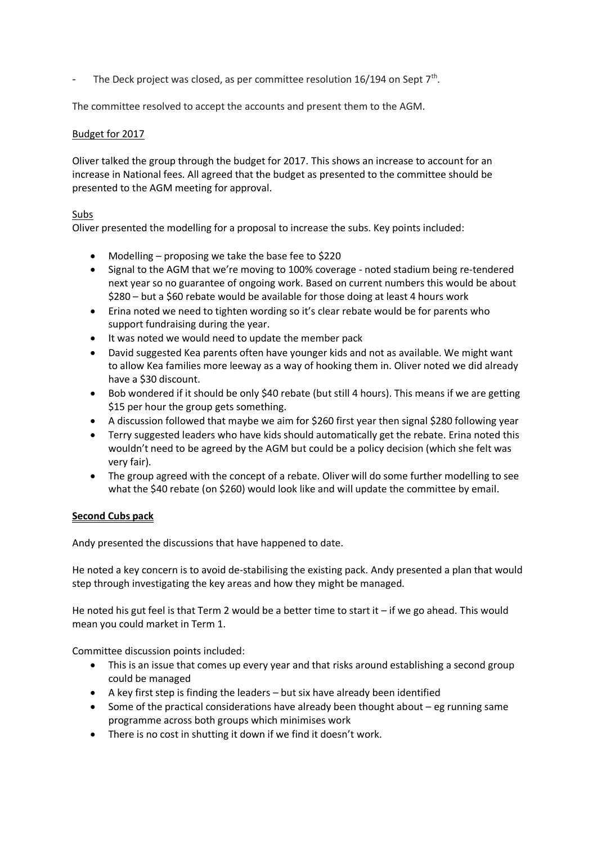- The Deck project was closed, as per committee resolution 16/194 on Sept  $7<sup>th</sup>$ .

The committee resolved to accept the accounts and present them to the AGM.

### Budget for 2017

Oliver talked the group through the budget for 2017. This shows an increase to account for an increase in National fees. All agreed that the budget as presented to the committee should be presented to the AGM meeting for approval.

#### Subs

Oliver presented the modelling for a proposal to increase the subs. Key points included:

- Modelling proposing we take the base fee to \$220
- Signal to the AGM that we're moving to 100% coverage noted stadium being re-tendered next year so no guarantee of ongoing work. Based on current numbers this would be about \$280 – but a \$60 rebate would be available for those doing at least 4 hours work
- Erina noted we need to tighten wording so it's clear rebate would be for parents who support fundraising during the year.
- It was noted we would need to update the member pack
- David suggested Kea parents often have younger kids and not as available. We might want to allow Kea families more leeway as a way of hooking them in. Oliver noted we did already have a \$30 discount.
- Bob wondered if it should be only \$40 rebate (but still 4 hours). This means if we are getting \$15 per hour the group gets something.
- A discussion followed that maybe we aim for \$260 first year then signal \$280 following year
- Terry suggested leaders who have kids should automatically get the rebate. Erina noted this wouldn't need to be agreed by the AGM but could be a policy decision (which she felt was very fair).
- The group agreed with the concept of a rebate. Oliver will do some further modelling to see what the \$40 rebate (on \$260) would look like and will update the committee by email.

## **Second Cubs pack**

Andy presented the discussions that have happened to date.

He noted a key concern is to avoid de-stabilising the existing pack. Andy presented a plan that would step through investigating the key areas and how they might be managed.

He noted his gut feel is that Term 2 would be a better time to start it – if we go ahead. This would mean you could market in Term 1.

Committee discussion points included:

- This is an issue that comes up every year and that risks around establishing a second group could be managed
- A key first step is finding the leaders but six have already been identified
- Some of the practical considerations have already been thought about eg running same programme across both groups which minimises work
- There is no cost in shutting it down if we find it doesn't work.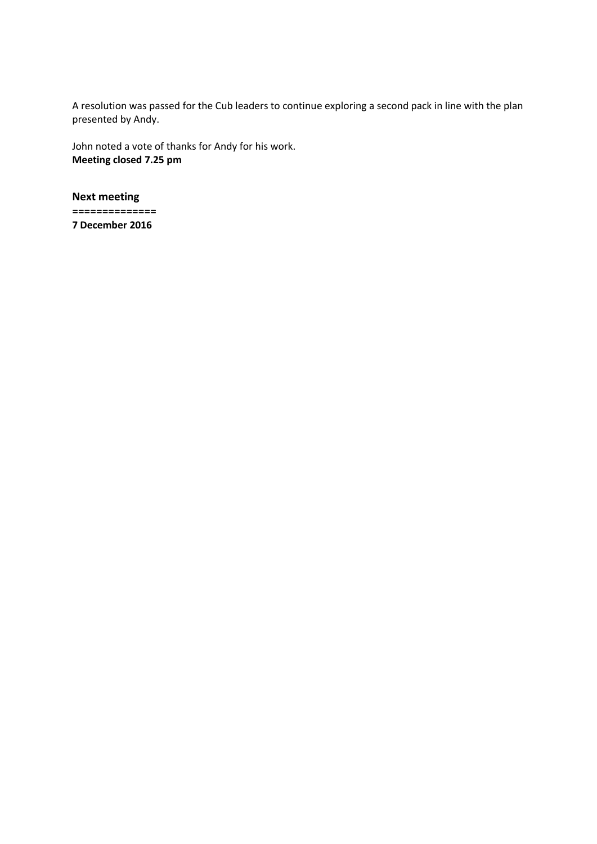A resolution was passed for the Cub leaders to continue exploring a second pack in line with the plan presented by Andy.

John noted a vote of thanks for Andy for his work. **Meeting closed 7.25 pm**

**Next meeting ============== 7 December 2016**